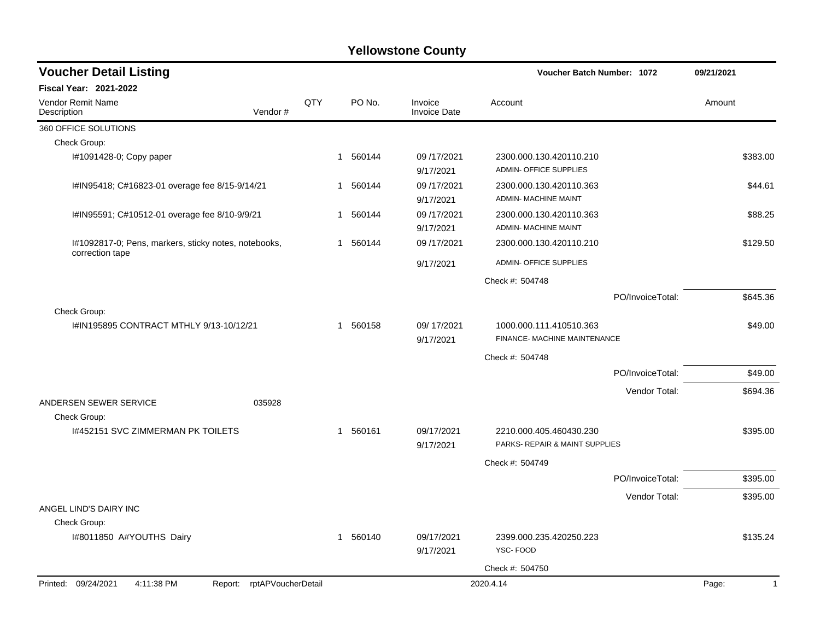| <b>Voucher Detail Listing</b>                        |                            |     |   |          |                                | Voucher Batch Number: 1072                                |                  | 09/21/2021 |              |
|------------------------------------------------------|----------------------------|-----|---|----------|--------------------------------|-----------------------------------------------------------|------------------|------------|--------------|
| <b>Fiscal Year: 2021-2022</b>                        |                            |     |   |          |                                |                                                           |                  |            |              |
| Vendor Remit Name<br>Description                     | Vendor#                    | QTY |   | PO No.   | Invoice<br><b>Invoice Date</b> | Account                                                   |                  | Amount     |              |
| 360 OFFICE SOLUTIONS                                 |                            |     |   |          |                                |                                                           |                  |            |              |
| Check Group:                                         |                            |     |   |          |                                |                                                           |                  |            |              |
| I#1091428-0; Copy paper                              |                            |     |   | 1 560144 | 09/17/2021<br>9/17/2021        | 2300.000.130.420110.210<br><b>ADMIN- OFFICE SUPPLIES</b>  |                  | \$383.00   |              |
| I#IN95418; C#16823-01 overage fee 8/15-9/14/21       |                            |     |   | 1 560144 | 09/17/2021<br>9/17/2021        | 2300.000.130.420110.363<br>ADMIN- MACHINE MAINT           |                  |            | \$44.61      |
| I#IN95591; C#10512-01 overage fee 8/10-9/9/21        |                            |     |   | 1 560144 | 09/17/2021<br>9/17/2021        | 2300.000.130.420110.363<br>ADMIN- MACHINE MAINT           |                  |            | \$88.25      |
| I#1092817-0; Pens, markers, sticky notes, notebooks, |                            |     | 1 | 560144   | 09/17/2021                     | 2300.000.130.420110.210                                   |                  | \$129.50   |              |
| correction tape                                      |                            |     |   |          | 9/17/2021                      | <b>ADMIN- OFFICE SUPPLIES</b>                             |                  |            |              |
|                                                      |                            |     |   |          |                                | Check #: 504748                                           |                  |            |              |
|                                                      |                            |     |   |          |                                |                                                           | PO/InvoiceTotal: | \$645.36   |              |
| Check Group:                                         |                            |     |   |          |                                |                                                           |                  |            |              |
| I#IN195895 CONTRACT MTHLY 9/13-10/12/21              |                            |     |   | 1 560158 | 09/17/2021<br>9/17/2021        | 1000.000.111.410510.363<br>FINANCE- MACHINE MAINTENANCE   |                  |            | \$49.00      |
|                                                      |                            |     |   |          |                                | Check #: 504748                                           |                  |            |              |
|                                                      |                            |     |   |          |                                |                                                           | PO/InvoiceTotal: |            | \$49.00      |
|                                                      |                            |     |   |          |                                |                                                           | Vendor Total:    | \$694.36   |              |
| ANDERSEN SEWER SERVICE                               | 035928                     |     |   |          |                                |                                                           |                  |            |              |
| Check Group:                                         |                            |     |   |          |                                |                                                           |                  |            |              |
| 1#452151 SVC ZIMMERMAN PK TOILETS                    |                            |     | 1 | 560161   | 09/17/2021<br>9/17/2021        | 2210.000.405.460430.230<br>PARKS- REPAIR & MAINT SUPPLIES |                  | \$395.00   |              |
|                                                      |                            |     |   |          |                                | Check #: 504749                                           |                  |            |              |
|                                                      |                            |     |   |          |                                |                                                           | PO/InvoiceTotal: | \$395.00   |              |
|                                                      |                            |     |   |          |                                |                                                           | Vendor Total:    | \$395.00   |              |
| ANGEL LIND'S DAIRY INC                               |                            |     |   |          |                                |                                                           |                  |            |              |
| Check Group:                                         |                            |     |   |          |                                |                                                           |                  |            |              |
| I#8011850 A#YOUTHS Dairy                             |                            |     |   | 1 560140 | 09/17/2021                     | 2399.000.235.420250.223<br>YSC-FOOD                       |                  | \$135.24   |              |
|                                                      |                            |     |   |          | 9/17/2021                      |                                                           |                  |            |              |
|                                                      |                            |     |   |          |                                | Check #: 504750                                           |                  |            |              |
| Printed: 09/24/2021<br>4:11:38 PM                    | Report: rptAPVoucherDetail |     |   |          |                                | 2020.4.14                                                 |                  | Page:      | $\mathbf{1}$ |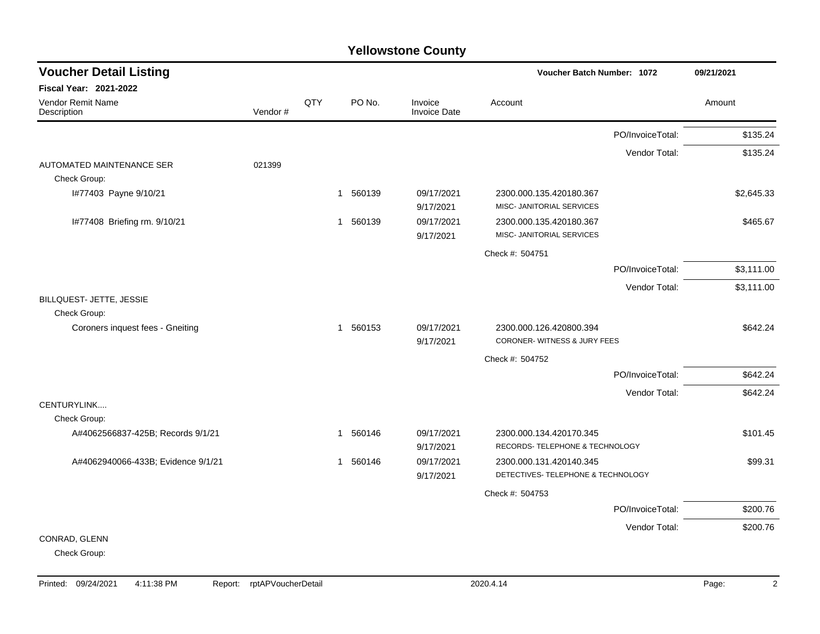| <b>Voucher Detail Listing</b>             |         |     |                        |                         | <b>Voucher Batch Number: 1072</b>                             |                  | 09/21/2021 |
|-------------------------------------------|---------|-----|------------------------|-------------------------|---------------------------------------------------------------|------------------|------------|
| Fiscal Year: 2021-2022                    |         |     |                        |                         |                                                               |                  |            |
| Vendor Remit Name<br>Description          | Vendor# | QTY | PO No.                 | Invoice<br>Invoice Date | Account                                                       |                  | Amount     |
|                                           |         |     |                        |                         |                                                               | PO/InvoiceTotal: | \$135.24   |
|                                           |         |     |                        |                         |                                                               | Vendor Total:    | \$135.24   |
| AUTOMATED MAINTENANCE SER<br>Check Group: | 021399  |     |                        |                         |                                                               |                  |            |
| I#77403 Payne 9/10/21                     |         |     | 1 560139               | 09/17/2021<br>9/17/2021 | 2300.000.135.420180.367<br>MISC- JANITORIAL SERVICES          |                  | \$2,645.33 |
| I#77408 Briefing rm. 9/10/21              |         |     | 560139<br>$\mathbf{1}$ | 09/17/2021<br>9/17/2021 | 2300.000.135.420180.367<br>MISC- JANITORIAL SERVICES          |                  | \$465.67   |
|                                           |         |     |                        |                         | Check #: 504751                                               |                  |            |
|                                           |         |     |                        |                         |                                                               | PO/InvoiceTotal: | \$3,111.00 |
|                                           |         |     |                        |                         |                                                               | Vendor Total:    | \$3,111.00 |
| BILLQUEST- JETTE, JESSIE<br>Check Group:  |         |     |                        |                         |                                                               |                  |            |
| Coroners inquest fees - Gneiting          |         |     | 560153<br>$\mathbf{1}$ | 09/17/2021<br>9/17/2021 | 2300.000.126.420800.394<br>CORONER-WITNESS & JURY FEES        |                  | \$642.24   |
|                                           |         |     |                        |                         | Check #: 504752                                               |                  |            |
|                                           |         |     |                        |                         |                                                               | PO/InvoiceTotal: | \$642.24   |
|                                           |         |     |                        |                         |                                                               | Vendor Total:    | \$642.24   |
| CENTURYLINK<br>Check Group:               |         |     |                        |                         |                                                               |                  |            |
| A#4062566837-425B; Records 9/1/21         |         |     | 560146<br>$\mathbf 1$  | 09/17/2021<br>9/17/2021 | 2300.000.134.420170.345<br>RECORDS- TELEPHONE & TECHNOLOGY    |                  | \$101.45   |
| A#4062940066-433B; Evidence 9/1/21        |         |     | 560146<br>-1           | 09/17/2021<br>9/17/2021 | 2300.000.131.420140.345<br>DETECTIVES- TELEPHONE & TECHNOLOGY |                  | \$99.31    |
|                                           |         |     |                        |                         | Check #: 504753                                               |                  |            |
|                                           |         |     |                        |                         |                                                               | PO/InvoiceTotal: | \$200.76   |
|                                           |         |     |                        |                         |                                                               | Vendor Total:    | \$200.76   |
| CONRAD, GLENN                             |         |     |                        |                         |                                                               |                  |            |
| Check Group:                              |         |     |                        |                         |                                                               |                  |            |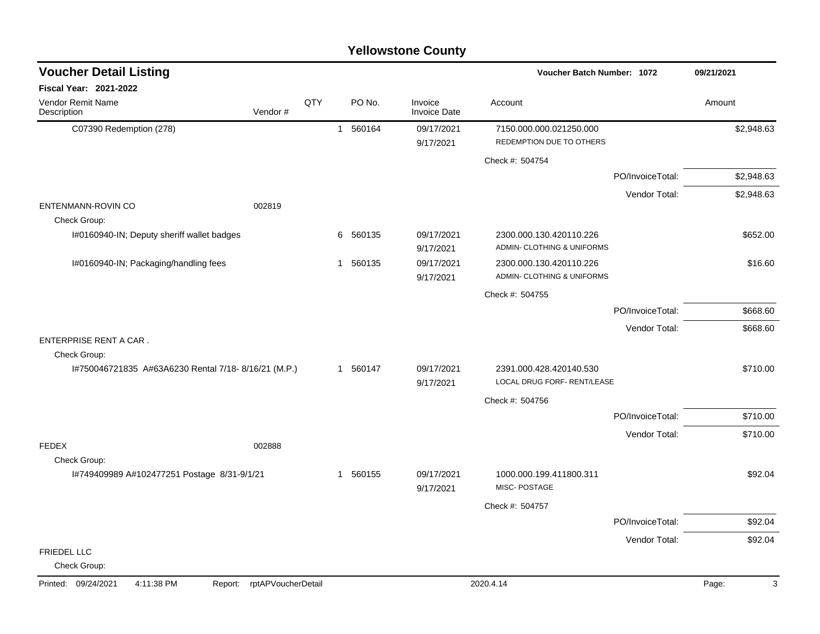### C07390 Redemption (278) 1 560164 09/17/2021 7150.000.000.021250.000 12150.000 \$2,948.63 9/17/2021 REDEMPTION DUE TO OTHERS Check #: 504754 PO/InvoiceTotal: \$2,948.63 Vendor Total: \$2,948.63 ENTENMANN-ROVIN CO 002819 Check Group: I#0160940-IN; Deputy sheriff wallet badges  $6\quad 60135\quad 09/17/2021\quad 2300.000.130.420110.226$  \$652.00 9/17/2021 ADMIN- CLOTHING & UNIFORMS I#0160940-IN; Packaging/handling fees 1 560135 09/17/2021 2300.000.130.420110.226 \$16.60 9/17/2021 ADMIN- CLOTHING & UNIFORMS Check #: 504755 PO/InvoiceTotal: \$668.60 Vendor Total: \$668.60 ENTERPRISE RENT A CAR . Check Group: I#750046721835 A#63A6230 Rental 7/18- 8/16/21 (M.P.) 1 560147 09/17/2021 2391.000.428.420140.530 \$710.00 9/17/2021 LOCAL DRUG FORF- RENT/LEASE Check #: 504756 PO/InvoiceTotal: \$710.00 Vendor Total: \$710.00 FEDEX 002888 Check Group: I#749409989 A#102477251 Postage 8/31-9/1/21 1 560155 09/17/2021 1000.000.199.411800.311 \$92.04 9/17/2021 MISC- POSTAGE Check #: 504757 PO/InvoiceTotal: \$92.04 Vendor Total: \$92.04 FRIEDEL LLC Check Group: **Voucher Batch Number: Yellowstone County** Vendor Remit Name **Description Voucher Detail Listing Fiscal Year: 2021-2022 1072 09/21/2021** PO No. Invoice Account Amount Amount Amount Amount Vendor # **QTY** Invoice Date Printed: 09/24/2021 4:11:38 PM Report: rptAPVoucherDetail 2020.4.14 2020.4.14 Page: 3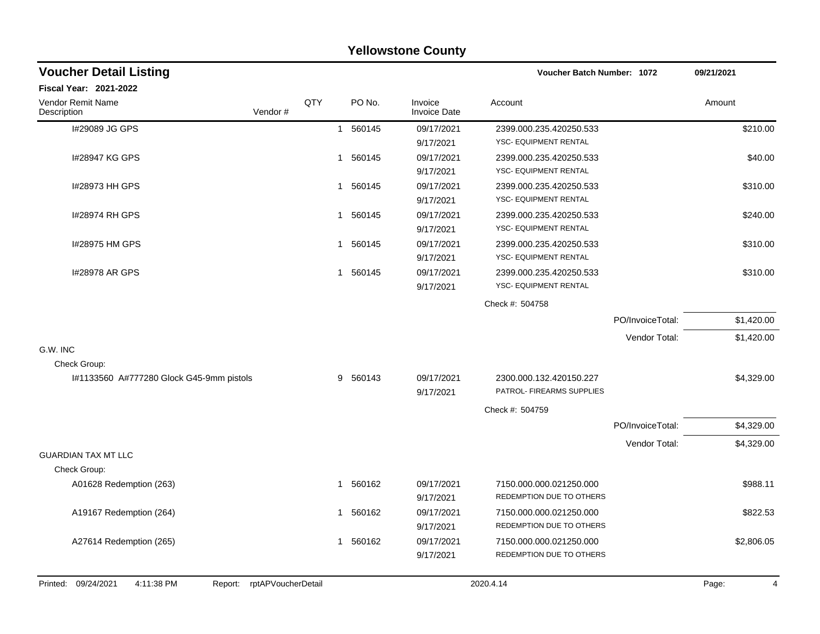|                                                                 |     |              |          | <b>Yellowstone County</b> |                              |                  |            |
|-----------------------------------------------------------------|-----|--------------|----------|---------------------------|------------------------------|------------------|------------|
| <b>Voucher Detail Listing</b>                                   |     |              |          |                           | Voucher Batch Number: 1072   |                  | 09/21/2021 |
| <b>Fiscal Year: 2021-2022</b>                                   |     |              |          |                           |                              |                  |            |
| Vendor Remit Name<br>Vendor#<br>Description                     | QTY |              | PO No.   | Invoice<br>Invoice Date   | Account                      |                  | Amount     |
| I#29089 JG GPS                                                  |     | $\mathbf{1}$ | 560145   | 09/17/2021                | 2399.000.235.420250.533      |                  | \$210.00   |
|                                                                 |     |              |          | 9/17/2021                 | YSC- EQUIPMENT RENTAL        |                  |            |
| 1#28947 KG GPS                                                  |     | $\mathbf 1$  | 560145   | 09/17/2021                | 2399.000.235.420250.533      |                  | \$40.00    |
|                                                                 |     |              |          | 9/17/2021                 | YSC- EQUIPMENT RENTAL        |                  |            |
| 1#28973 HH GPS                                                  |     | 1            | 560145   | 09/17/2021                | 2399.000.235.420250.533      |                  | \$310.00   |
|                                                                 |     |              |          | 9/17/2021                 | YSC- EQUIPMENT RENTAL        |                  |            |
| 1#28974 RH GPS                                                  |     | 1            | 560145   | 09/17/2021                | 2399.000.235.420250.533      |                  | \$240.00   |
|                                                                 |     |              |          | 9/17/2021                 | YSC- EQUIPMENT RENTAL        |                  |            |
| I#28975 HM GPS                                                  |     | 1            | 560145   | 09/17/2021                | 2399.000.235.420250.533      |                  | \$310.00   |
|                                                                 |     |              |          | 9/17/2021                 | <b>YSC- EQUIPMENT RENTAL</b> |                  |            |
| 1#28978 AR GPS                                                  |     | 1            | 560145   | 09/17/2021                | 2399.000.235.420250.533      |                  | \$310.00   |
|                                                                 |     |              |          | 9/17/2021                 | YSC- EQUIPMENT RENTAL        |                  |            |
|                                                                 |     |              |          |                           | Check #: 504758              |                  |            |
|                                                                 |     |              |          |                           |                              | PO/InvoiceTotal: | \$1,420.00 |
|                                                                 |     |              |          |                           |                              | Vendor Total:    | \$1,420.00 |
| G.W. INC                                                        |     |              |          |                           |                              |                  |            |
| Check Group:                                                    |     |              |          |                           |                              |                  |            |
| I#1133560 A#777280 Glock G45-9mm pistols                        |     | 9            | 560143   | 09/17/2021                | 2300.000.132.420150.227      |                  | \$4,329.00 |
|                                                                 |     |              |          | 9/17/2021                 | PATROL- FIREARMS SUPPLIES    |                  |            |
|                                                                 |     |              |          |                           | Check #: 504759              |                  |            |
|                                                                 |     |              |          |                           |                              | PO/InvoiceTotal: | \$4,329.00 |
|                                                                 |     |              |          |                           |                              | Vendor Total:    | \$4,329.00 |
| <b>GUARDIAN TAX MT LLC</b>                                      |     |              |          |                           |                              |                  |            |
| Check Group:                                                    |     |              |          |                           |                              |                  |            |
| A01628 Redemption (263)                                         |     | 1            | 560162   | 09/17/2021                | 7150.000.000.021250.000      |                  | \$988.11   |
|                                                                 |     |              |          | 9/17/2021                 | REDEMPTION DUE TO OTHERS     |                  |            |
| A19167 Redemption (264)                                         |     |              | 1 560162 | 09/17/2021                | 7150.000.000.021250.000      |                  | \$822.53   |
|                                                                 |     |              |          | 9/17/2021                 | REDEMPTION DUE TO OTHERS     |                  |            |
| A27614 Redemption (265)                                         |     |              | 1 560162 | 09/17/2021                | 7150.000.000.021250.000      |                  | \$2,806.05 |
|                                                                 |     |              |          | 9/17/2021                 | REDEMPTION DUE TO OTHERS     |                  |            |
|                                                                 |     |              |          |                           |                              |                  |            |
| Printed: 09/24/2021<br>4:11:38 PM<br>Report: rptAPVoucherDetail |     |              |          |                           | 2020.4.14                    |                  | Page:<br>4 |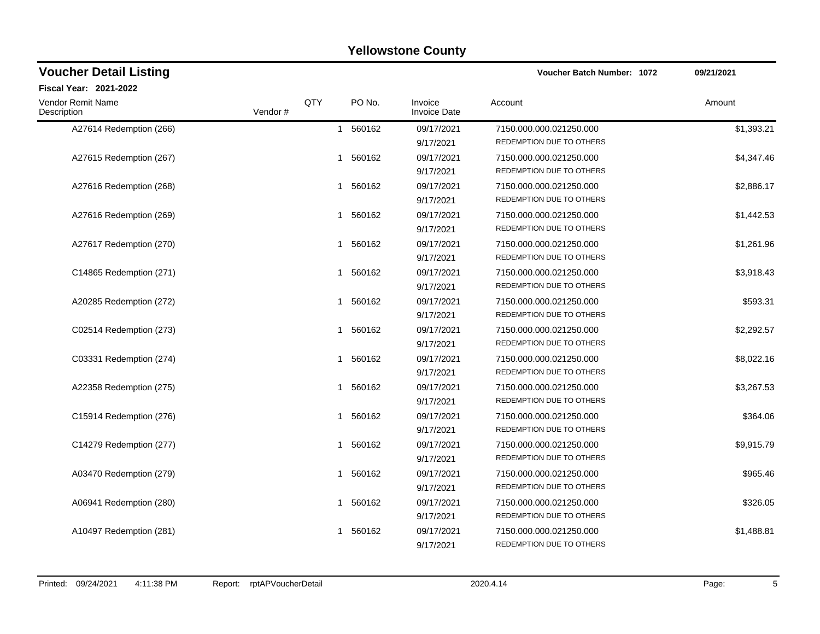| <b>Voucher Detail Listing</b>    |         |     |          |                                | <b>Voucher Batch Number: 1072</b>                   | 09/21/2021 |  |
|----------------------------------|---------|-----|----------|--------------------------------|-----------------------------------------------------|------------|--|
| Fiscal Year: 2021-2022           |         |     |          |                                |                                                     |            |  |
| Vendor Remit Name<br>Description | Vendor# | QTY | PO No.   | Invoice<br><b>Invoice Date</b> | Account                                             | Amount     |  |
| A27614 Redemption (266)          |         |     | 1 560162 | 09/17/2021<br>9/17/2021        | 7150.000.000.021250.000<br>REDEMPTION DUE TO OTHERS | \$1,393.21 |  |
| A27615 Redemption (267)          |         | 1   | 560162   | 09/17/2021<br>9/17/2021        | 7150.000.000.021250.000<br>REDEMPTION DUE TO OTHERS | \$4,347.46 |  |
| A27616 Redemption (268)          |         |     | 1 560162 | 09/17/2021<br>9/17/2021        | 7150.000.000.021250.000<br>REDEMPTION DUE TO OTHERS | \$2,886.17 |  |
| A27616 Redemption (269)          |         | 1   | 560162   | 09/17/2021<br>9/17/2021        | 7150.000.000.021250.000<br>REDEMPTION DUE TO OTHERS | \$1,442.53 |  |
| A27617 Redemption (270)          |         |     | 1 560162 | 09/17/2021<br>9/17/2021        | 7150.000.000.021250.000<br>REDEMPTION DUE TO OTHERS | \$1,261.96 |  |
| C14865 Redemption (271)          |         | 1   | 560162   | 09/17/2021<br>9/17/2021        | 7150.000.000.021250.000<br>REDEMPTION DUE TO OTHERS | \$3,918.43 |  |
| A20285 Redemption (272)          |         |     | 1 560162 | 09/17/2021<br>9/17/2021        | 7150.000.000.021250.000<br>REDEMPTION DUE TO OTHERS | \$593.31   |  |
| C02514 Redemption (273)          |         | 1   | 560162   | 09/17/2021<br>9/17/2021        | 7150.000.000.021250.000<br>REDEMPTION DUE TO OTHERS | \$2,292.57 |  |
| C03331 Redemption (274)          |         |     | 1 560162 | 09/17/2021<br>9/17/2021        | 7150.000.000.021250.000<br>REDEMPTION DUE TO OTHERS | \$8,022.16 |  |
| A22358 Redemption (275)          |         | 1   | 560162   | 09/17/2021<br>9/17/2021        | 7150.000.000.021250.000<br>REDEMPTION DUE TO OTHERS | \$3,267.53 |  |
| C15914 Redemption (276)          |         |     | 1 560162 | 09/17/2021<br>9/17/2021        | 7150.000.000.021250.000<br>REDEMPTION DUE TO OTHERS | \$364.06   |  |
| C14279 Redemption (277)          |         | 1   | 560162   | 09/17/2021<br>9/17/2021        | 7150.000.000.021250.000<br>REDEMPTION DUE TO OTHERS | \$9,915.79 |  |
| A03470 Redemption (279)          |         | 1   | 560162   | 09/17/2021<br>9/17/2021        | 7150.000.000.021250.000<br>REDEMPTION DUE TO OTHERS | \$965.46   |  |
| A06941 Redemption (280)          |         | 1   | 560162   | 09/17/2021<br>9/17/2021        | 7150.000.000.021250.000<br>REDEMPTION DUE TO OTHERS | \$326.05   |  |
| A10497 Redemption (281)          |         | 1   | 560162   | 09/17/2021<br>9/17/2021        | 7150.000.000.021250.000<br>REDEMPTION DUE TO OTHERS | \$1,488.81 |  |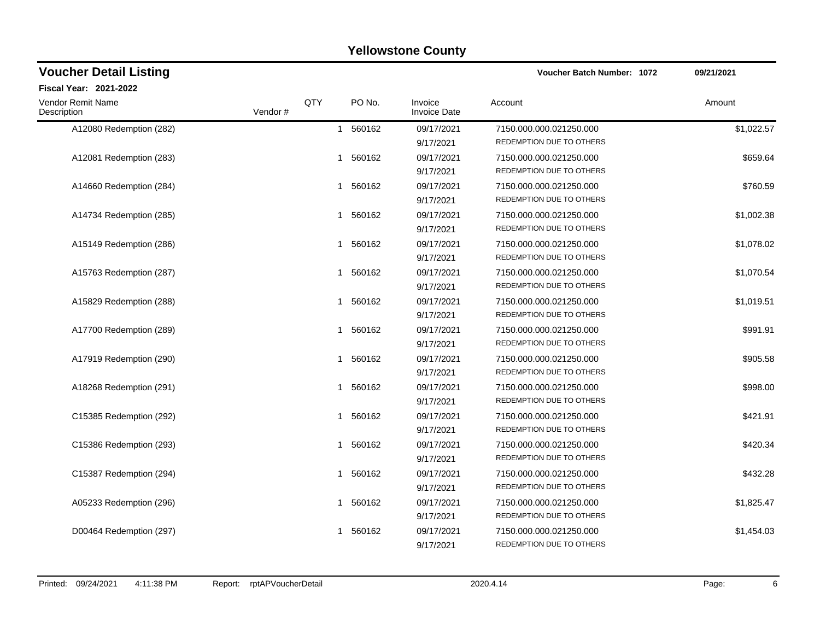| <b>Voucher Detail Listing</b>    |                |   |          |                                | <b>Voucher Batch Number: 1072</b>                   | 09/21/2021 |  |
|----------------------------------|----------------|---|----------|--------------------------------|-----------------------------------------------------|------------|--|
| Fiscal Year: 2021-2022           |                |   |          |                                |                                                     |            |  |
| Vendor Remit Name<br>Description | QTY<br>Vendor# |   | PO No.   | Invoice<br><b>Invoice Date</b> | Account                                             | Amount     |  |
| A12080 Redemption (282)          |                |   | 1 560162 | 09/17/2021<br>9/17/2021        | 7150.000.000.021250.000<br>REDEMPTION DUE TO OTHERS | \$1,022.57 |  |
| A12081 Redemption (283)          |                | 1 | 560162   | 09/17/2021<br>9/17/2021        | 7150.000.000.021250.000<br>REDEMPTION DUE TO OTHERS | \$659.64   |  |
| A14660 Redemption (284)          |                |   | 1 560162 | 09/17/2021<br>9/17/2021        | 7150.000.000.021250.000<br>REDEMPTION DUE TO OTHERS | \$760.59   |  |
| A14734 Redemption (285)          |                | 1 | 560162   | 09/17/2021<br>9/17/2021        | 7150.000.000.021250.000<br>REDEMPTION DUE TO OTHERS | \$1,002.38 |  |
| A15149 Redemption (286)          |                |   | 1 560162 | 09/17/2021<br>9/17/2021        | 7150.000.000.021250.000<br>REDEMPTION DUE TO OTHERS | \$1,078.02 |  |
| A15763 Redemption (287)          |                | 1 | 560162   | 09/17/2021<br>9/17/2021        | 7150.000.000.021250.000<br>REDEMPTION DUE TO OTHERS | \$1,070.54 |  |
| A15829 Redemption (288)          |                |   | 1 560162 | 09/17/2021<br>9/17/2021        | 7150.000.000.021250.000<br>REDEMPTION DUE TO OTHERS | \$1,019.51 |  |
| A17700 Redemption (289)          |                | 1 | 560162   | 09/17/2021<br>9/17/2021        | 7150.000.000.021250.000<br>REDEMPTION DUE TO OTHERS | \$991.91   |  |
| A17919 Redemption (290)          |                |   | 1 560162 | 09/17/2021<br>9/17/2021        | 7150.000.000.021250.000<br>REDEMPTION DUE TO OTHERS | \$905.58   |  |
| A18268 Redemption (291)          |                |   | 1 560162 | 09/17/2021<br>9/17/2021        | 7150.000.000.021250.000<br>REDEMPTION DUE TO OTHERS | \$998.00   |  |
| C15385 Redemption (292)          |                |   | 1 560162 | 09/17/2021<br>9/17/2021        | 7150.000.000.021250.000<br>REDEMPTION DUE TO OTHERS | \$421.91   |  |
| C15386 Redemption (293)          |                | 1 | 560162   | 09/17/2021<br>9/17/2021        | 7150.000.000.021250.000<br>REDEMPTION DUE TO OTHERS | \$420.34   |  |
| C15387 Redemption (294)          |                | 1 | 560162   | 09/17/2021<br>9/17/2021        | 7150.000.000.021250.000<br>REDEMPTION DUE TO OTHERS | \$432.28   |  |
| A05233 Redemption (296)          |                |   | 1 560162 | 09/17/2021<br>9/17/2021        | 7150.000.000.021250.000<br>REDEMPTION DUE TO OTHERS | \$1,825.47 |  |
| D00464 Redemption (297)          |                | 1 | 560162   | 09/17/2021<br>9/17/2021        | 7150.000.000.021250.000<br>REDEMPTION DUE TO OTHERS | \$1,454.03 |  |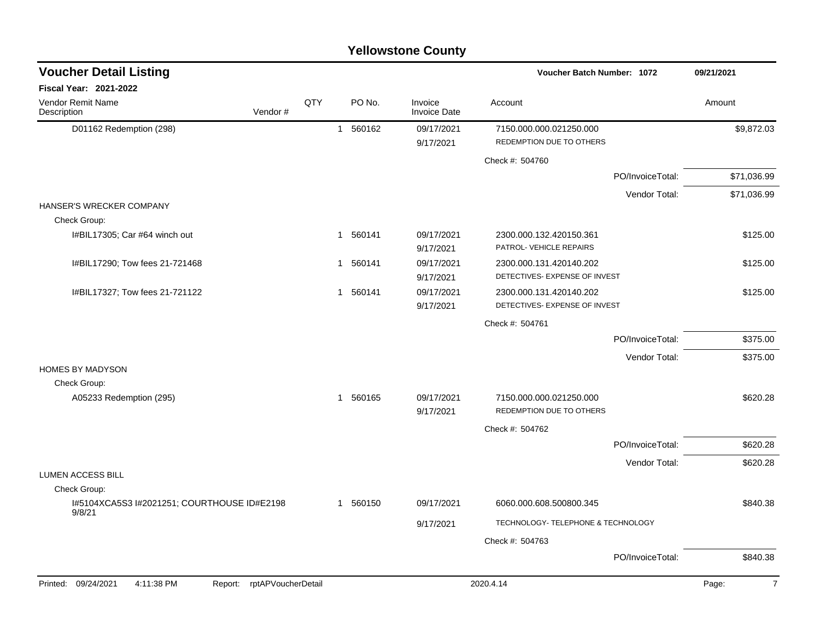| <b>Yellowstone County</b>                                          |     |             |                                |                                                     |             |  |  |  |
|--------------------------------------------------------------------|-----|-------------|--------------------------------|-----------------------------------------------------|-------------|--|--|--|
| <b>Voucher Detail Listing</b>                                      |     |             |                                | <b>Voucher Batch Number: 1072</b>                   | 09/21/2021  |  |  |  |
| Fiscal Year: 2021-2022                                             |     |             |                                |                                                     |             |  |  |  |
| Vendor Remit Name<br>Vendor#<br>Description                        | QTY | PO No.      | Invoice<br><b>Invoice Date</b> | Account                                             | Amount      |  |  |  |
| D01162 Redemption (298)                                            |     | 560162<br>1 | 09/17/2021<br>9/17/2021        | 7150.000.000.021250.000<br>REDEMPTION DUE TO OTHERS | \$9,872.03  |  |  |  |
|                                                                    |     |             |                                | Check #: 504760                                     |             |  |  |  |
|                                                                    |     |             |                                | PO/InvoiceTotal:                                    | \$71,036.99 |  |  |  |
|                                                                    |     |             |                                | Vendor Total:                                       | \$71,036.99 |  |  |  |
| HANSER'S WRECKER COMPANY                                           |     |             |                                |                                                     |             |  |  |  |
| Check Group:                                                       |     |             |                                |                                                     |             |  |  |  |
| I#BIL17305; Car #64 winch out                                      |     | 1 560141    | 09/17/2021                     | 2300.000.132.420150.361<br>PATROL-VEHICLE REPAIRS   | \$125.00    |  |  |  |
| I#BIL17290; Tow fees 21-721468                                     |     | 1 560141    | 9/17/2021<br>09/17/2021        | 2300.000.131.420140.202                             | \$125.00    |  |  |  |
|                                                                    |     |             | 9/17/2021                      | DETECTIVES- EXPENSE OF INVEST                       |             |  |  |  |
| I#BIL17327; Tow fees 21-721122                                     |     | 1 560141    | 09/17/2021                     | 2300.000.131.420140.202                             | \$125.00    |  |  |  |
|                                                                    |     |             | 9/17/2021                      | DETECTIVES- EXPENSE OF INVEST                       |             |  |  |  |
|                                                                    |     |             |                                | Check #: 504761                                     |             |  |  |  |
|                                                                    |     |             |                                | PO/InvoiceTotal:                                    | \$375.00    |  |  |  |
|                                                                    |     |             |                                | Vendor Total:                                       | \$375.00    |  |  |  |
| <b>HOMES BY MADYSON</b>                                            |     |             |                                |                                                     |             |  |  |  |
| Check Group:                                                       |     |             |                                |                                                     |             |  |  |  |
| A05233 Redemption (295)                                            |     | 1 560165    | 09/17/2021                     | 7150.000.000.021250.000<br>REDEMPTION DUE TO OTHERS | \$620.28    |  |  |  |
|                                                                    |     |             | 9/17/2021                      |                                                     |             |  |  |  |
|                                                                    |     |             |                                | Check #: 504762                                     |             |  |  |  |
|                                                                    |     |             |                                | PO/InvoiceTotal:                                    | \$620.28    |  |  |  |
| <b>LUMEN ACCESS BILL</b>                                           |     |             |                                | Vendor Total:                                       | \$620.28    |  |  |  |
| Check Group:                                                       |     |             |                                |                                                     |             |  |  |  |
| I#5104XCA5S3 I#2021251; COURTHOUSE ID#E2198                        |     | 1 560150    | 09/17/2021                     | 6060.000.608.500800.345                             | \$840.38    |  |  |  |
| 9/8/21                                                             |     |             | 9/17/2021                      | TECHNOLOGY- TELEPHONE & TECHNOLOGY                  |             |  |  |  |
|                                                                    |     |             |                                | Check #: 504763                                     |             |  |  |  |
|                                                                    |     |             |                                | PO/InvoiceTotal:                                    | \$840.38    |  |  |  |
|                                                                    |     |             |                                |                                                     |             |  |  |  |
| 4:11:38 PM<br>rptAPVoucherDetail<br>Printed: 09/24/2021<br>Report: |     |             |                                | 2020.4.14                                           | Page:<br>7  |  |  |  |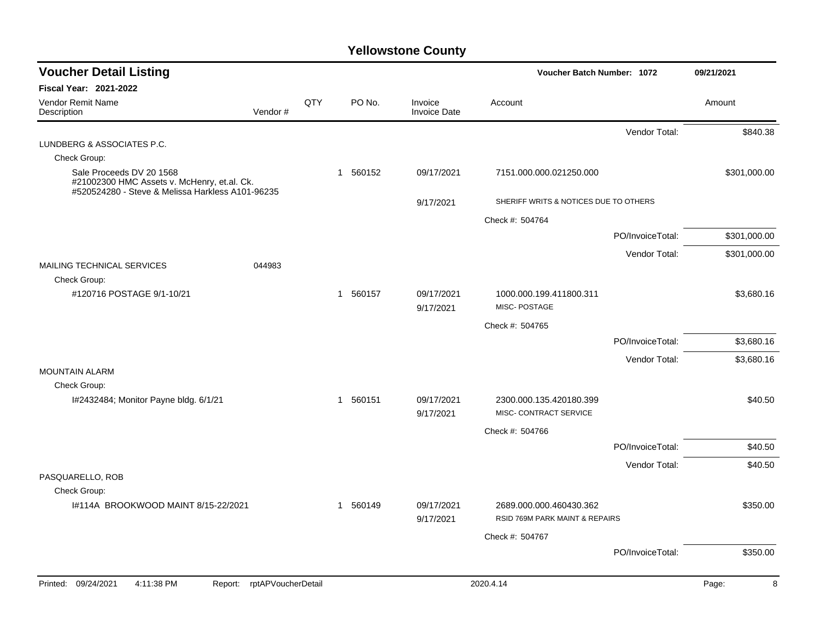| <b>Voucher Detail Listing</b>                                                                                               |     |          |                                | Voucher Batch Number: 1072                                |                  | 09/21/2021   |
|-----------------------------------------------------------------------------------------------------------------------------|-----|----------|--------------------------------|-----------------------------------------------------------|------------------|--------------|
| <b>Fiscal Year: 2021-2022</b>                                                                                               |     |          |                                |                                                           |                  |              |
| Vendor Remit Name<br>Vendor#<br>Description                                                                                 | QTY | PO No.   | Invoice<br><b>Invoice Date</b> | Account                                                   |                  | Amount       |
|                                                                                                                             |     |          |                                |                                                           | Vendor Total:    | \$840.38     |
| LUNDBERG & ASSOCIATES P.C.                                                                                                  |     |          |                                |                                                           |                  |              |
| Check Group:                                                                                                                |     |          |                                |                                                           |                  |              |
| Sale Proceeds DV 20 1568<br>#21002300 HMC Assets v. McHenry, et.al. Ck.<br>#520524280 - Steve & Melissa Harkless A101-96235 |     | 1 560152 | 09/17/2021                     | 7151.000.000.021250.000                                   |                  | \$301,000.00 |
|                                                                                                                             |     |          | 9/17/2021                      | SHERIFF WRITS & NOTICES DUE TO OTHERS                     |                  |              |
|                                                                                                                             |     |          |                                | Check #: 504764                                           |                  |              |
|                                                                                                                             |     |          |                                |                                                           | PO/InvoiceTotal: | \$301,000.00 |
|                                                                                                                             |     |          |                                |                                                           | Vendor Total:    | \$301,000.00 |
| MAILING TECHNICAL SERVICES<br>044983                                                                                        |     |          |                                |                                                           |                  |              |
| Check Group:                                                                                                                |     |          |                                |                                                           |                  |              |
| #120716 POSTAGE 9/1-10/21                                                                                                   |     | 1 560157 | 09/17/2021<br>9/17/2021        | 1000.000.199.411800.311<br><b>MISC-POSTAGE</b>            |                  | \$3,680.16   |
|                                                                                                                             |     |          |                                | Check #: 504765                                           |                  |              |
|                                                                                                                             |     |          |                                |                                                           | PO/InvoiceTotal: | \$3,680.16   |
|                                                                                                                             |     |          |                                |                                                           | Vendor Total:    | \$3,680.16   |
| <b>MOUNTAIN ALARM</b>                                                                                                       |     |          |                                |                                                           |                  |              |
| Check Group:                                                                                                                |     |          |                                |                                                           |                  |              |
| I#2432484; Monitor Payne bldg. 6/1/21                                                                                       |     | 1 560151 | 09/17/2021<br>9/17/2021        | 2300.000.135.420180.399<br>MISC- CONTRACT SERVICE         |                  | \$40.50      |
|                                                                                                                             |     |          |                                | Check #: 504766                                           |                  |              |
|                                                                                                                             |     |          |                                |                                                           | PO/InvoiceTotal: | \$40.50      |
|                                                                                                                             |     |          |                                |                                                           | Vendor Total:    | \$40.50      |
| PASQUARELLO, ROB                                                                                                            |     |          |                                |                                                           |                  |              |
| Check Group:                                                                                                                |     |          |                                |                                                           |                  |              |
| I#114A BROOKWOOD MAINT 8/15-22/2021                                                                                         |     | 1 560149 | 09/17/2021<br>9/17/2021        | 2689.000.000.460430.362<br>RSID 769M PARK MAINT & REPAIRS |                  | \$350.00     |
|                                                                                                                             |     |          |                                | Check #: 504767                                           |                  |              |
|                                                                                                                             |     |          |                                |                                                           | PO/InvoiceTotal: | \$350.00     |
| Printed: 09/24/2021<br>4:11:38 PM<br>rptAPVoucherDetail<br>Report:                                                          |     |          |                                | 2020.4.14                                                 |                  | Page:<br>8   |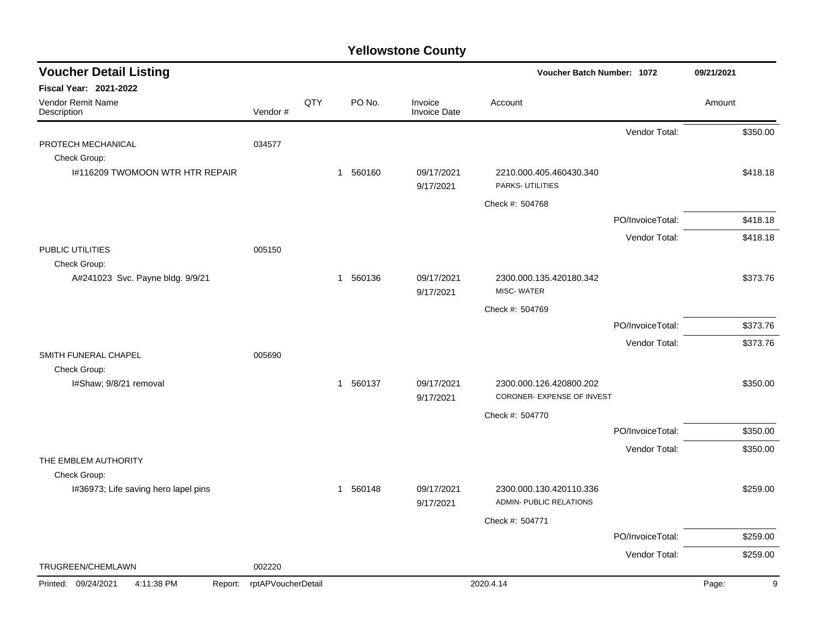| <b>Voucher Detail Listing</b>                    |                    |     |          |                         | Voucher Batch Number: 1072                  | 09/21/2021       |          |   |
|--------------------------------------------------|--------------------|-----|----------|-------------------------|---------------------------------------------|------------------|----------|---|
| Fiscal Year: 2021-2022                           |                    |     |          |                         |                                             |                  |          |   |
| Vendor Remit Name<br>Description                 | Vendor#            | QTY | PO No.   | Invoice<br>Invoice Date | Account                                     |                  | Amount   |   |
|                                                  |                    |     |          |                         |                                             | Vendor Total:    | \$350.00 |   |
| PROTECH MECHANICAL<br>Check Group:               | 034577             |     |          |                         |                                             |                  |          |   |
| 1#116209 TWOMOON WTR HTR REPAIR                  |                    |     | 1 560160 | 09/17/2021<br>9/17/2021 | 2210.000.405.460430.340<br>PARKS- UTILITIES |                  | \$418.18 |   |
|                                                  |                    |     |          |                         | Check #: 504768                             |                  |          |   |
|                                                  |                    |     |          |                         |                                             | PO/InvoiceTotal: | \$418.18 |   |
|                                                  |                    |     |          |                         |                                             | Vendor Total:    | \$418.18 |   |
| PUBLIC UTILITIES                                 | 005150             |     |          |                         |                                             |                  |          |   |
| Check Group:<br>A#241023 Svc. Payne bldg. 9/9/21 |                    |     | 1 560136 | 09/17/2021              | 2300.000.135.420180.342                     |                  | \$373.76 |   |
|                                                  |                    |     |          | 9/17/2021               | MISC-WATER                                  |                  |          |   |
|                                                  |                    |     |          |                         | Check #: 504769                             |                  |          |   |
|                                                  |                    |     |          |                         |                                             | PO/InvoiceTotal: | \$373.76 |   |
|                                                  |                    |     |          |                         |                                             | Vendor Total:    | \$373.76 |   |
| SMITH FUNERAL CHAPEL<br>Check Group:             | 005690             |     |          |                         |                                             |                  |          |   |
| I#Shaw; 9/8/21 removal                           |                    |     | 1 560137 | 09/17/2021              | 2300.000.126.420800.202                     |                  | \$350.00 |   |
|                                                  |                    |     |          | 9/17/2021               | CORONER- EXPENSE OF INVEST                  |                  |          |   |
|                                                  |                    |     |          |                         | Check #: 504770                             |                  |          |   |
|                                                  |                    |     |          |                         |                                             | PO/InvoiceTotal: | \$350.00 |   |
|                                                  |                    |     |          |                         |                                             | Vendor Total:    | \$350.00 |   |
| THE EMBLEM AUTHORITY<br>Check Group:             |                    |     |          |                         |                                             |                  |          |   |
| I#36973; Life saving hero lapel pins             |                    |     | 1 560148 | 09/17/2021              | 2300.000.130.420110.336                     |                  | \$259.00 |   |
|                                                  |                    |     |          | 9/17/2021               | <b>ADMIN- PUBLIC RELATIONS</b>              |                  |          |   |
|                                                  |                    |     |          |                         | Check #: 504771                             |                  |          |   |
|                                                  |                    |     |          |                         |                                             | PO/InvoiceTotal: | \$259.00 |   |
|                                                  |                    |     |          |                         |                                             | Vendor Total:    | \$259.00 |   |
| TRUGREEN/CHEMLAWN                                | 002220             |     |          |                         |                                             |                  |          |   |
| Printed: 09/24/2021<br>4:11:38 PM<br>Report:     | rptAPVoucherDetail |     |          |                         | 2020.4.14                                   |                  | Page:    | 9 |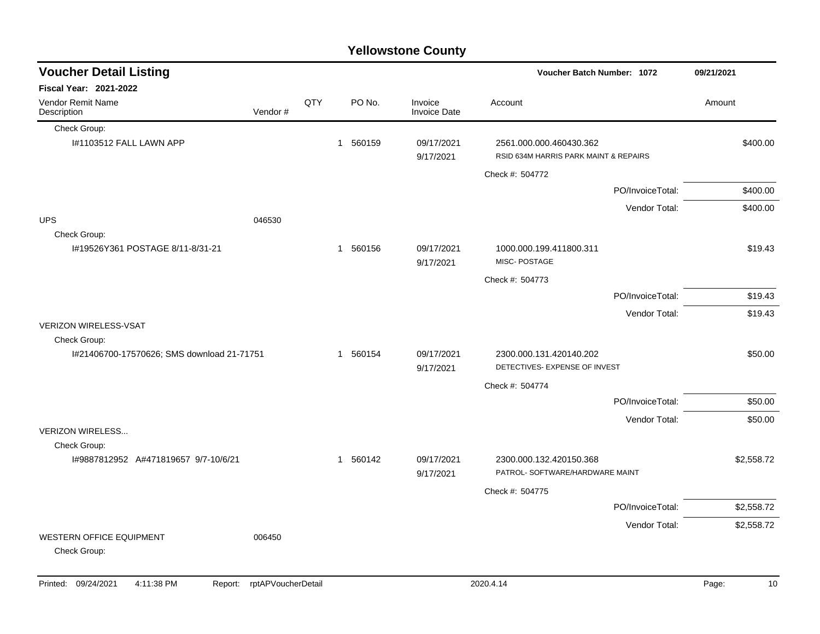|                                                            |         |     |                        | <b>Yellowstone County</b>      |                                                          |                                       |            |
|------------------------------------------------------------|---------|-----|------------------------|--------------------------------|----------------------------------------------------------|---------------------------------------|------------|
| <b>Voucher Detail Listing</b>                              |         |     |                        |                                |                                                          | Voucher Batch Number: 1072            | 09/21/2021 |
| <b>Fiscal Year: 2021-2022</b>                              |         |     |                        |                                |                                                          |                                       |            |
| Vendor Remit Name<br>Description                           | Vendor# | QTY | PO No.                 | Invoice<br><b>Invoice Date</b> | Account                                                  |                                       | Amount     |
| Check Group:                                               |         |     |                        |                                |                                                          |                                       |            |
| I#1103512 FALL LAWN APP                                    |         |     | 560159<br>$\mathbf{1}$ | 09/17/2021<br>9/17/2021        | 2561.000.000.460430.362                                  | RSID 634M HARRIS PARK MAINT & REPAIRS | \$400.00   |
|                                                            |         |     |                        |                                | Check #: 504772                                          |                                       |            |
|                                                            |         |     |                        |                                |                                                          | PO/InvoiceTotal:                      | \$400.00   |
|                                                            |         |     |                        |                                |                                                          | Vendor Total:                         | \$400.00   |
| <b>UPS</b><br>Check Group:                                 | 046530  |     |                        |                                |                                                          |                                       |            |
| I#19526Y361 POSTAGE 8/11-8/31-21                           |         |     | 560156<br>$\mathbf{1}$ | 09/17/2021<br>9/17/2021        | 1000.000.199.411800.311<br>MISC-POSTAGE                  |                                       | \$19.43    |
|                                                            |         |     |                        |                                | Check #: 504773                                          |                                       |            |
|                                                            |         |     |                        |                                |                                                          | PO/InvoiceTotal:                      | \$19.43    |
|                                                            |         |     |                        |                                |                                                          | Vendor Total:                         | \$19.43    |
| <b>VERIZON WIRELESS-VSAT</b>                               |         |     |                        |                                |                                                          |                                       |            |
| Check Group:<br>I#21406700-17570626; SMS download 21-71751 |         |     | 560154<br>$\mathbf{1}$ | 09/17/2021<br>9/17/2021        | 2300.000.131.420140.202<br>DETECTIVES- EXPENSE OF INVEST |                                       | \$50.00    |
|                                                            |         |     |                        |                                | Check #: 504774                                          |                                       |            |
|                                                            |         |     |                        |                                |                                                          | PO/InvoiceTotal:                      | \$50.00    |
|                                                            |         |     |                        |                                |                                                          | Vendor Total:                         | \$50.00    |
| <b>VERIZON WIRELESS</b>                                    |         |     |                        |                                |                                                          |                                       |            |
| Check Group:<br>I#9887812952 A#471819657 9/7-10/6/21       |         |     | 1 560142               | 09/17/2021<br>9/17/2021        | 2300.000.132.420150.368                                  | PATROL- SOFTWARE/HARDWARE MAINT       | \$2,558.72 |
|                                                            |         |     |                        |                                | Check #: 504775                                          |                                       |            |
|                                                            |         |     |                        |                                |                                                          | PO/InvoiceTotal:                      | \$2,558.72 |
|                                                            |         |     |                        |                                |                                                          | Vendor Total:                         | \$2,558.72 |
| <b>WESTERN OFFICE EQUIPMENT</b><br>Check Group:            | 006450  |     |                        |                                |                                                          |                                       |            |